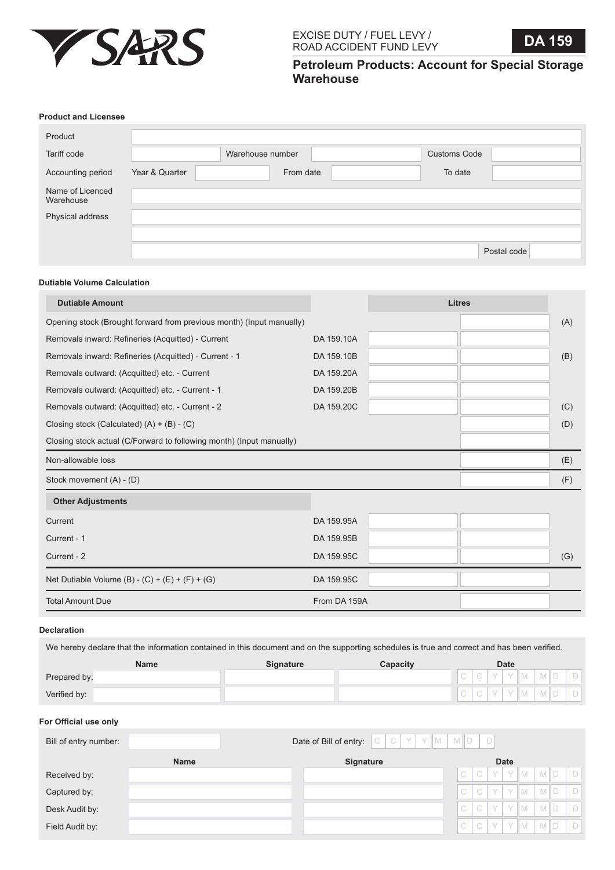

**Petroleum Products: Account for Special Storage Warehouse**

#### **Product and Licensee**

| Product                       |                |                  |                     |             |
|-------------------------------|----------------|------------------|---------------------|-------------|
| Tariff code                   |                | Warehouse number | <b>Customs Code</b> |             |
| Accounting period             | Year & Quarter | From date        | To date             |             |
| Name of Licenced<br>Warehouse |                |                  |                     |             |
| Physical address              |                |                  |                     |             |
|                               |                |                  |                     |             |
|                               |                |                  |                     | Postal code |

## **Dutiable Volume Calculation**

| <b>Dutiable Amount</b>                                               |              | <b>Litres</b> |     |
|----------------------------------------------------------------------|--------------|---------------|-----|
| Opening stock (Brought forward from previous month) (Input manually) |              |               | (A) |
| Removals inward: Refineries (Acquitted) - Current                    | DA 159.10A   |               |     |
| Removals inward: Refineries (Acquitted) - Current - 1                | DA 159.10B   |               | (B) |
| Removals outward: (Acquitted) etc. - Current                         | DA 159.20A   |               |     |
| Removals outward: (Acquitted) etc. - Current - 1                     | DA 159.20B   |               |     |
| Removals outward: (Acquitted) etc. - Current - 2                     | DA 159.20C   |               | (C) |
| Closing stock (Calculated) (A) + (B) - (C)                           |              |               | (D) |
| Closing stock actual (C/Forward to following month) (Input manually) |              |               |     |
| Non-allowable loss                                                   |              |               | (E) |
| Stock movement (A) - (D)                                             |              |               | (F) |
| <b>Other Adjustments</b>                                             |              |               |     |
| Current                                                              | DA 159.95A   |               |     |
| Current - 1                                                          | DA 159.95B   |               |     |
| Current - 2                                                          | DA 159.95C   |               | (G) |
| Net Dutiable Volume (B) - $(C) + (E) + (F) + (G)$                    | DA 159.95C   |               |     |
| <b>Total Amount Due</b>                                              | From DA 159A |               |     |

# **Declaration**

We hereby declare that the information contained in this document and on the supporting schedules is true and correct and has been verified.

|              | Name | <b>Signature</b> | Capacity |  | <b>Date</b> |  |  |
|--------------|------|------------------|----------|--|-------------|--|--|
| Prepared by: |      |                  |          |  |             |  |  |
| Verified by: |      |                  |          |  |             |  |  |

## **For Official use only**

| Bill of entry number: |             | Date of Bill of entry: $\begin{bmatrix} C & C & Y & Y \end{bmatrix}$ M $\begin{bmatrix} M & M \end{bmatrix}$ D |              |   |     |             |                         |  |
|-----------------------|-------------|----------------------------------------------------------------------------------------------------------------|--------------|---|-----|-------------|-------------------------|--|
|                       | <b>Name</b> | <b>Signature</b>                                                                                               |              |   |     | <b>Date</b> |                         |  |
| Received by:          |             |                                                                                                                | $\mathbb{C}$ |   |     |             | $C$ $Y$ $Y$ $M$ $M$ $D$ |  |
| Captured by:          |             |                                                                                                                | $\mathbb{C}$ |   | C Y |             | $Y$ M M D               |  |
| Desk Audit by:        |             |                                                                                                                | $\mathbb C$  | C | Y   |             | $Y$ M M D               |  |
| Field Audit by:       |             |                                                                                                                | $\mathbb{C}$ |   |     |             | $C$ $Y$ $Y$ $M$ $M$ $D$ |  |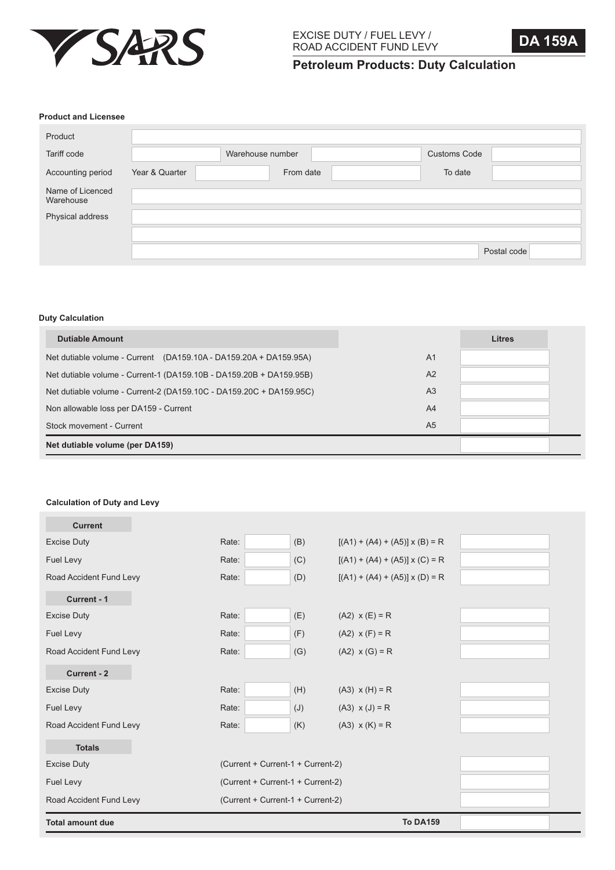

**Petroleum Products: Duty Calculation**

### **Product and Licensee**

| Product                       |                |                  |           |                     |             |
|-------------------------------|----------------|------------------|-----------|---------------------|-------------|
| Tariff code                   |                | Warehouse number |           | <b>Customs Code</b> |             |
| Accounting period             | Year & Quarter |                  | From date | To date             |             |
| Name of Licenced<br>Warehouse |                |                  |           |                     |             |
| Physical address              |                |                  |           |                     |             |
|                               |                |                  |           |                     |             |
|                               |                |                  |           |                     | Postal code |

### **Duty Calculation**

| <b>Dutiable Amount</b>                                              |                | <b>Litres</b> |
|---------------------------------------------------------------------|----------------|---------------|
| Net dutiable volume - Current (DA159.10A - DA159.20A + DA159.95A)   | A <sub>1</sub> |               |
| Net dutiable volume - Current-1 (DA159.10B - DA159.20B + DA159.95B) | A2             |               |
| Net dutiable volume - Current-2 (DA159.10C - DA159.20C + DA159.95C) | A <sub>3</sub> |               |
| Non allowable loss per DA159 - Current                              | A <sup>4</sup> |               |
| Stock movement - Current                                            | A <sub>5</sub> |               |
| Net dutiable volume (per DA159)                                     |                |               |

# **Calculation of Duty and Levy**

| <b>Total amount due</b> |                                   |                                   | <b>To DA159</b>                       |  |  |
|-------------------------|-----------------------------------|-----------------------------------|---------------------------------------|--|--|
| Road Accident Fund Levy | (Current + Current-1 + Current-2) |                                   |                                       |  |  |
| Fuel Levy               | (Current + Current-1 + Current-2) |                                   |                                       |  |  |
| <b>Excise Duty</b>      |                                   | (Current + Current-1 + Current-2) |                                       |  |  |
| <b>Totals</b>           |                                   |                                   |                                       |  |  |
| Road Accident Fund Levy | Rate:                             | (K)                               | $(A3)$ x $(K) = R$                    |  |  |
| Fuel Levy               | Rate:                             | (J)                               | $(A3) \times (J) = R$                 |  |  |
| <b>Excise Duty</b>      | Rate:                             | (H)                               | $(A3) \times (H) = R$                 |  |  |
| Current - 2             |                                   |                                   |                                       |  |  |
| Road Accident Fund Levy | Rate:                             | (G)                               | $(A2) \times (G) = R$                 |  |  |
| Fuel Levy               | Rate:                             | (F)                               | $(A2)$ x $(F) = R$                    |  |  |
| <b>Excise Duty</b>      | Rate:                             | (E)                               | $(A2)$ x $(E) = R$                    |  |  |
| Current - 1             |                                   |                                   |                                       |  |  |
| Road Accident Fund Levy | Rate:                             | (D)                               | $[(A1) + (A4) + (A5)] \times (D) = R$ |  |  |
| Fuel Levy               | Rate:                             | (C)                               | $[(A1) + (A4) + (A5)] \times (C) = R$ |  |  |
| <b>Excise Duty</b>      | Rate:                             | (B)                               | $[(A1) + (A4) + (A5)] \times (B) = R$ |  |  |
| <b>Current</b>          |                                   |                                   |                                       |  |  |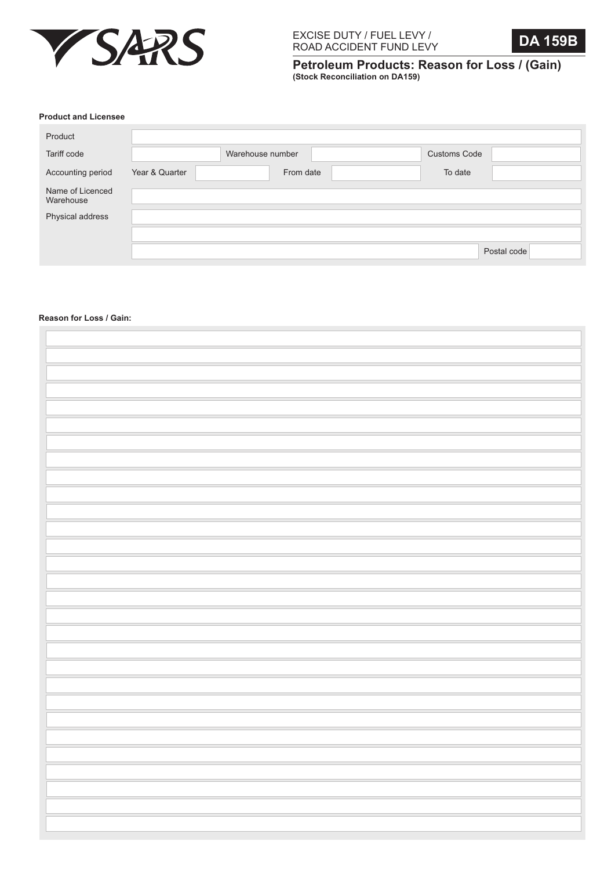



**Petroleum Products: Reason for Loss / (Gain) (Stock Reconciliation on DA159)**

### **Product and Licensee**

| Product                       |                |                  |                     |             |
|-------------------------------|----------------|------------------|---------------------|-------------|
| Tariff code                   |                | Warehouse number | <b>Customs Code</b> |             |
| Accounting period             | Year & Quarter | From date        | To date             |             |
| Name of Licenced<br>Warehouse |                |                  |                     |             |
| Physical address              |                |                  |                     |             |
|                               |                |                  |                     |             |
|                               |                |                  |                     | Postal code |

### **Reason for Loss / Gain:**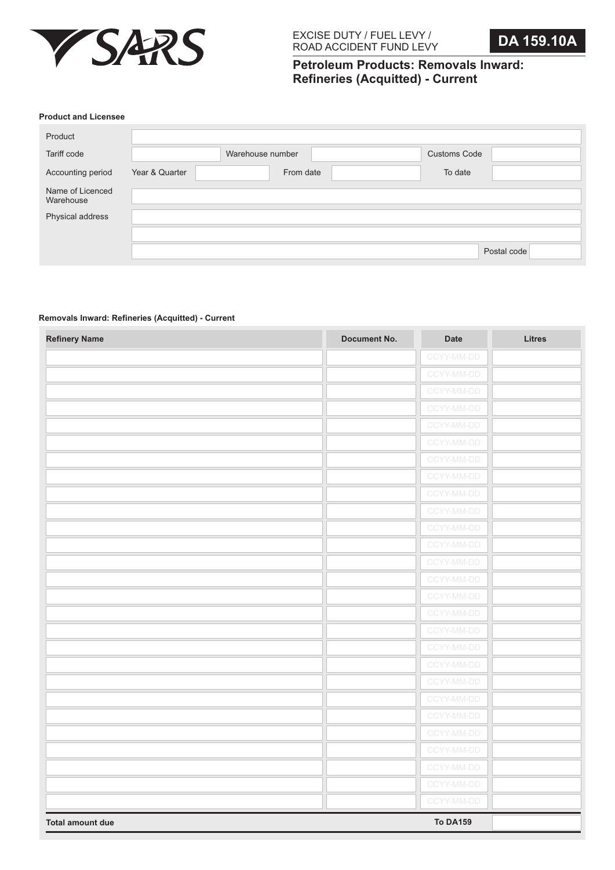

# **Petroleum Products: Removals Inward: Refineries (Acquitted) - Current**

#### **Product and Licensee**

| Product                       |                |                  |                     |             |
|-------------------------------|----------------|------------------|---------------------|-------------|
| Tariff code                   |                | Warehouse number | <b>Customs Code</b> |             |
| Accounting period             | Year & Quarter | From date        | To date             |             |
| Name of Licenced<br>Warehouse |                |                  |                     |             |
| Physical address              |                |                  |                     |             |
|                               |                |                  |                     |             |
|                               |                |                  |                     | Postal code |

# **Removals Inward: Refineries (Acquitted) - Current**

| <b>Refinery Name</b>    | <b>Document No.</b> | Date            | <b>Litres</b> |
|-------------------------|---------------------|-----------------|---------------|
|                         |                     | CCYY-MM-DD      |               |
|                         |                     | CCYY-MM-DD      |               |
|                         |                     | CCYY-MM-DD      |               |
|                         |                     | CCYY-MM-DD      |               |
|                         |                     | CCYY-MM-DD      |               |
|                         |                     | CCYY-MM-DD      |               |
|                         |                     | CCYY-MM-DD      |               |
|                         |                     | CCYY-MM-DD      |               |
|                         |                     | CCYY-MM-DD      |               |
|                         |                     | CCYY-MM-DD      |               |
|                         |                     | CCYY-MM-DD      |               |
|                         |                     | CCYY-MM-DD      |               |
|                         |                     | CCYY-MM-DD      |               |
|                         |                     | CCYY-MM-DD      |               |
|                         |                     | CCYY-MM-DD      |               |
|                         |                     | CCYY-MM-DD      |               |
|                         |                     | CCYY-MM-DD      |               |
|                         |                     | CCYY-MM-DD      |               |
|                         |                     | CCYY-MM-DD      |               |
|                         |                     | CCYY-MM-DD      |               |
|                         |                     | CCYY-MM-DD      |               |
|                         |                     | CCYY-MM-DD      |               |
|                         |                     | CCYY-MM-DD      |               |
|                         |                     | CCYY-MM-DD      |               |
|                         |                     | CCYY-MM-DD      |               |
|                         |                     | CCYY-MM-DD      |               |
|                         |                     | CCYY-MM-DD      |               |
| <b>Total amount due</b> |                     | <b>To DA159</b> |               |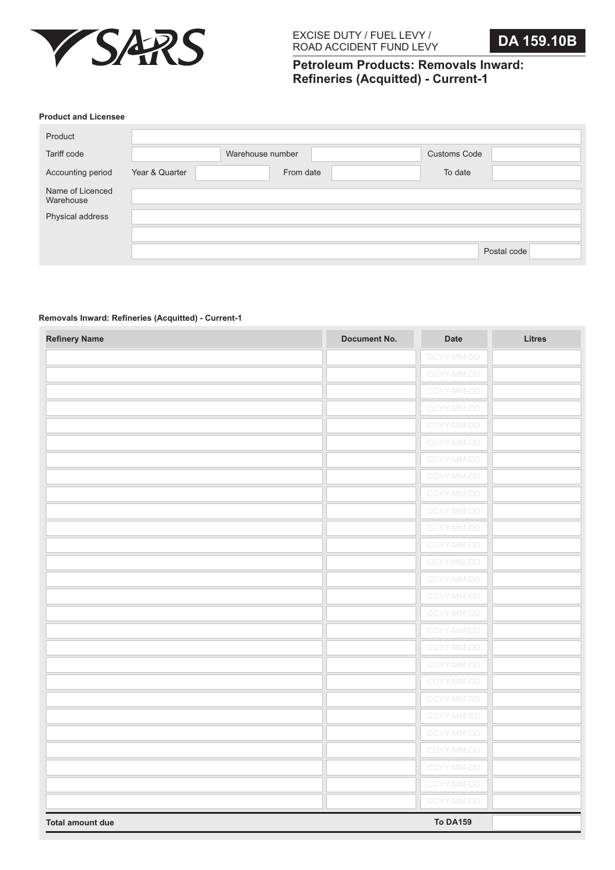

# **Petroleum Products: Removals Inward: Refineries (Acquitted) - Current-1**

#### **Product and Licensee**

| Product                       |                |                  |                     |             |
|-------------------------------|----------------|------------------|---------------------|-------------|
| Tariff code                   |                | Warehouse number | <b>Customs Code</b> |             |
| Accounting period             | Year & Quarter | From date        | To date             |             |
| Name of Licenced<br>Warehouse |                |                  |                     |             |
| Physical address              |                |                  |                     |             |
|                               |                |                  |                     |             |
|                               |                |                  |                     | Postal code |

# **Removals Inward: Refineries (Acquitted) - Current-1**

| <b>Refinery Name</b>    | <b>Document No.</b> | Date            | <b>Litres</b> |
|-------------------------|---------------------|-----------------|---------------|
|                         |                     | CCYY-MM-DD      |               |
|                         |                     | CCYY-MM-DD      |               |
|                         |                     | CCYY-MM-DD      |               |
|                         |                     | CCYY-MM-DD      |               |
|                         |                     | CCYY-MM-DD      |               |
|                         |                     | CCYY-MM-DD      |               |
|                         |                     | CCYY-MM-DD      |               |
|                         |                     | CCYY-MM-DD      |               |
|                         |                     | CCYY-MM-DD      |               |
|                         |                     | CCYY-MM-DD      |               |
|                         |                     | CCYY-MM-DD      |               |
|                         |                     | CCYY-MM-DD      |               |
|                         |                     | CCYY-MM-DD      |               |
|                         |                     | CCYY-MM-DD      |               |
|                         |                     | CCYY-MM-DD      |               |
|                         |                     | CCYY-MM-DD      |               |
|                         |                     | CCYY-MM-DD      |               |
|                         |                     | CCYY-MM-DD      |               |
|                         |                     | CCYY-MM-DD      |               |
|                         |                     | CCYY-MM-DD      |               |
|                         |                     | CCYY-MM-DD      |               |
|                         |                     | CCYY-MM-DD      |               |
|                         |                     | CCYY-MM-DD      |               |
|                         |                     | CCYY-MM-DD      |               |
|                         |                     | CCYY-MM-DD      |               |
|                         |                     | CCYY-MM-DD      |               |
|                         |                     | CCYY-MM-DD      |               |
| <b>Total amount due</b> |                     | <b>To DA159</b> |               |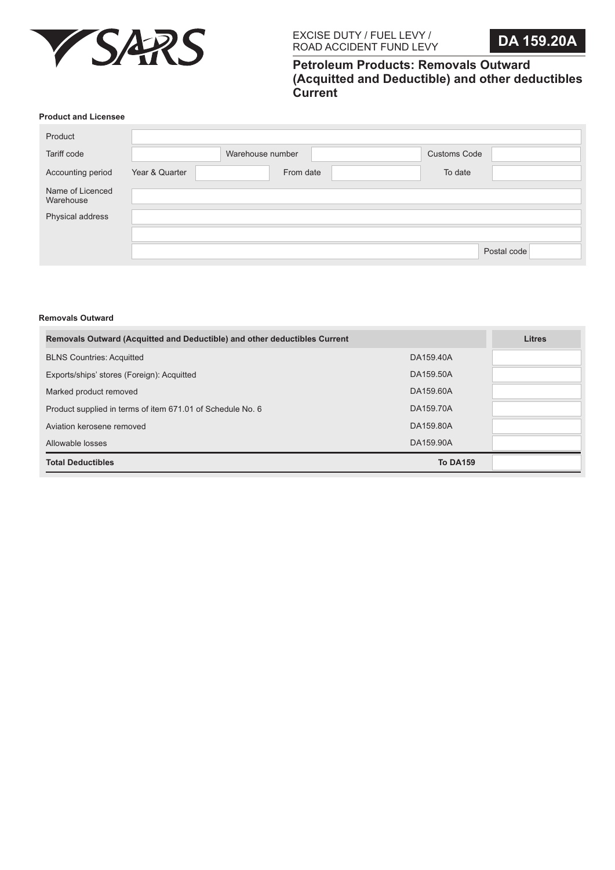

# **Petroleum Products: Removals Outward (Acquitted and Deductible) and other deductibles Current**

#### **Product and Licensee**

| Product                       |                |                  |                     |             |
|-------------------------------|----------------|------------------|---------------------|-------------|
| Tariff code                   |                | Warehouse number | <b>Customs Code</b> |             |
| Accounting period             | Year & Quarter | From date        | To date             |             |
| Name of Licenced<br>Warehouse |                |                  |                     |             |
| Physical address              |                |                  |                     |             |
|                               |                |                  |                     |             |
|                               |                |                  |                     | Postal code |

#### **Removals Outward**

| Removals Outward (Acquitted and Deductible) and other deductibles Current | <b>Litres</b>   |  |
|---------------------------------------------------------------------------|-----------------|--|
| <b>BLNS Countries: Acquitted</b>                                          | DA159.40A       |  |
| Exports/ships' stores (Foreign): Acquitted                                | DA159.50A       |  |
| Marked product removed                                                    | DA159,60A       |  |
| Product supplied in terms of item 671.01 of Schedule No. 6                | DA159.70A       |  |
| Aviation kerosene removed                                                 | DA159,80A       |  |
| Allowable losses                                                          | DA159.90A       |  |
| <b>Total Deductibles</b>                                                  | <b>To DA159</b> |  |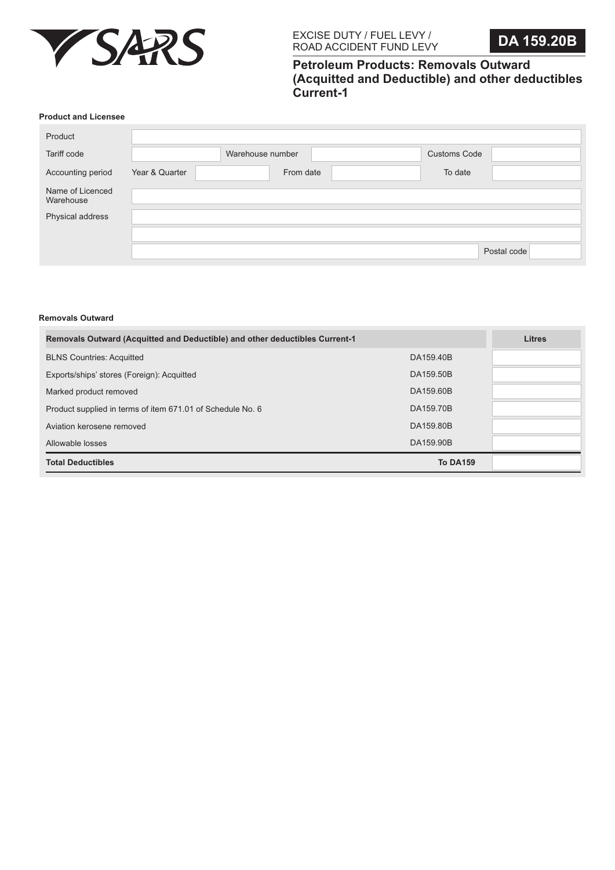

# **Petroleum Products: Removals Outward (Acquitted and Deductible) and other deductibles Current-1**

#### **Product and Licensee**

| Product                       |                |                  |                     |             |
|-------------------------------|----------------|------------------|---------------------|-------------|
| Tariff code                   |                | Warehouse number | <b>Customs Code</b> |             |
| Accounting period             | Year & Quarter | From date        | To date             |             |
| Name of Licenced<br>Warehouse |                |                  |                     |             |
| Physical address              |                |                  |                     |             |
|                               |                |                  |                     |             |
|                               |                |                  |                     | Postal code |

#### **Removals Outward**

| <b>Removals Outward (Acquitted and Deductible) and other deductibles Current-1</b> | <b>Litres</b>   |  |
|------------------------------------------------------------------------------------|-----------------|--|
| <b>BLNS Countries: Acquitted</b>                                                   | DA159.40B       |  |
| Exports/ships' stores (Foreign): Acquitted                                         | DA159.50B       |  |
| Marked product removed                                                             | DA159,60B       |  |
| Product supplied in terms of item 671.01 of Schedule No. 6                         | DA159.70B       |  |
| Aviation kerosene removed                                                          | DA159,80B       |  |
| Allowable losses                                                                   | DA159.90B       |  |
| <b>Total Deductibles</b>                                                           | <b>To DA159</b> |  |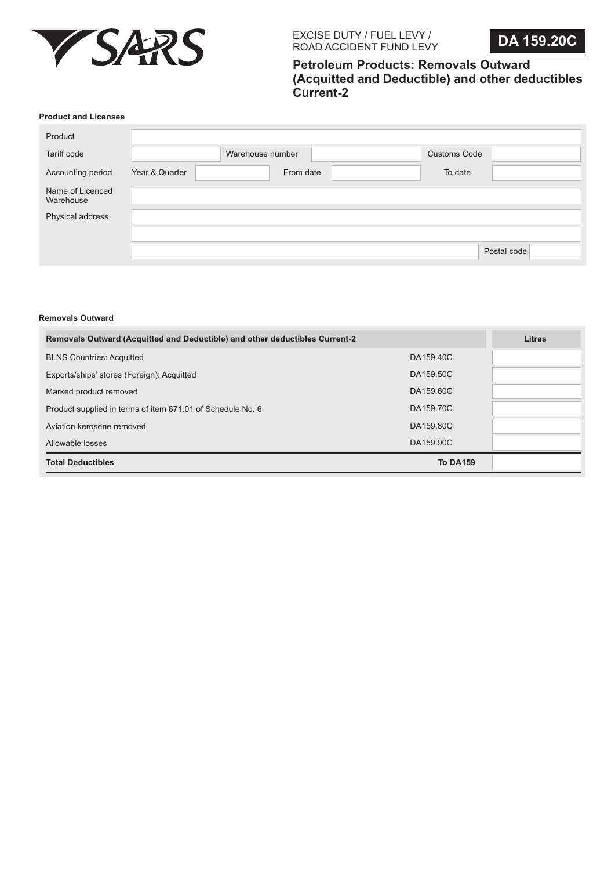

# **Petroleum Products: Removals Outward (Acquitted and Deductible) and other deductibles Current-2**

#### **Product and Licensee**

| Product                       |                |                  |                     |             |
|-------------------------------|----------------|------------------|---------------------|-------------|
| Tariff code                   |                | Warehouse number | <b>Customs Code</b> |             |
| Accounting period             | Year & Quarter | From date        | To date             |             |
| Name of Licenced<br>Warehouse |                |                  |                     |             |
| Physical address              |                |                  |                     |             |
|                               |                |                  |                     |             |
|                               |                |                  |                     | Postal code |

#### **Removals Outward**

| Removals Outward (Acquitted and Deductible) and other deductibles Current-2 | <b>Litres</b>   |  |
|-----------------------------------------------------------------------------|-----------------|--|
| <b>BLNS Countries: Acquitted</b>                                            | DA159.40C       |  |
| Exports/ships' stores (Foreign): Acquitted                                  | DA159.50C       |  |
| Marked product removed                                                      | DA159,60C       |  |
| Product supplied in terms of item 671.01 of Schedule No. 6                  | DA159.70C       |  |
| Aviation kerosene removed                                                   | DA159,80C       |  |
| Allowable losses                                                            | DA159.90C       |  |
| <b>Total Deductibles</b>                                                    | <b>To DA159</b> |  |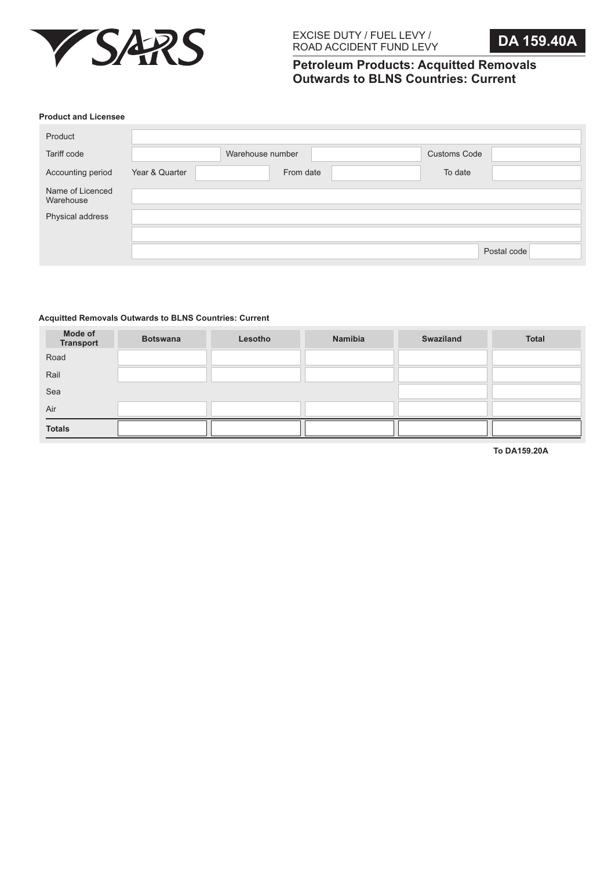

# **Petroleum Products: Acquitted Removals Outwards to BLNS Countries: Current**

#### **Product and Licensee**

| Product                       |                |                  |                     |             |
|-------------------------------|----------------|------------------|---------------------|-------------|
| Tariff code                   |                | Warehouse number | <b>Customs Code</b> |             |
| Accounting period             | Year & Quarter | From date        | To date             |             |
| Name of Licenced<br>Warehouse |                |                  |                     |             |
| Physical address              |                |                  |                     |             |
|                               |                |                  |                     |             |
|                               |                |                  |                     | Postal code |

# **Acquitted Removals Outwards to BLNS Countries: Current**

| Mode of<br><b>Transport</b> | <b>Botswana</b> | Lesotho | Namibia | <b>Swaziland</b> | <b>Total</b> |
|-----------------------------|-----------------|---------|---------|------------------|--------------|
| Road                        |                 |         |         |                  |              |
| Rail                        |                 |         |         |                  |              |
| Sea                         |                 |         |         |                  |              |
| Air                         |                 |         |         |                  |              |
| <b>Totals</b>               |                 |         |         |                  |              |

**To DA159.20A**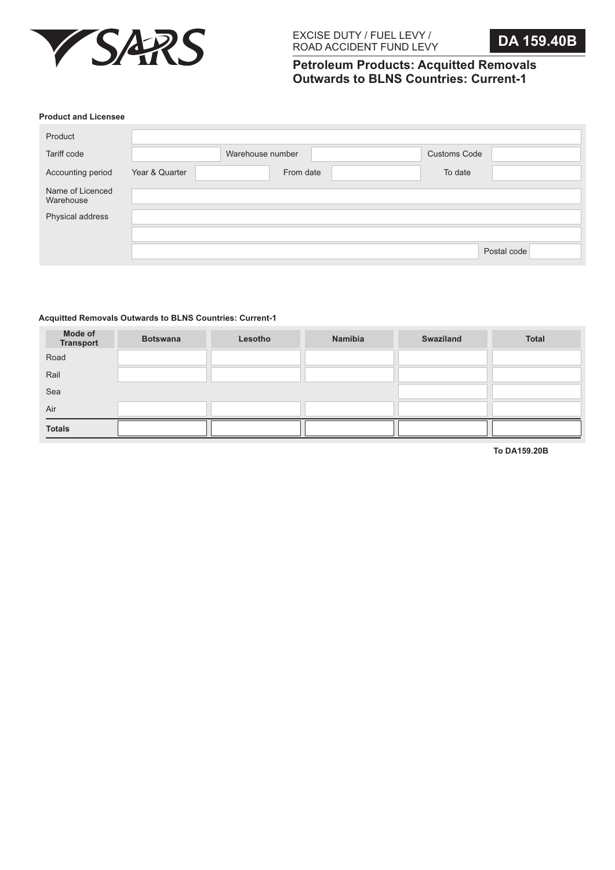

**Petroleum Products: Acquitted Removals Outwards to BLNS Countries: Current-1**

#### **Product and Licensee**

| Product                       |                |                  |                     |             |
|-------------------------------|----------------|------------------|---------------------|-------------|
| Tariff code                   |                | Warehouse number | <b>Customs Code</b> |             |
| Accounting period             | Year & Quarter | From date        | To date             |             |
| Name of Licenced<br>Warehouse |                |                  |                     |             |
| Physical address              |                |                  |                     |             |
|                               |                |                  |                     |             |
|                               |                |                  |                     | Postal code |

## **Acquitted Removals Outwards to BLNS Countries: Current-1**

| Mode of<br><b>Transport</b> | <b>Botswana</b> | Lesotho | Namibia | <b>Swaziland</b> | <b>Total</b> |
|-----------------------------|-----------------|---------|---------|------------------|--------------|
| Road                        |                 |         |         |                  |              |
| Rail                        |                 |         |         |                  |              |
| Sea                         |                 |         |         |                  |              |
| Air                         |                 |         |         |                  |              |
| <b>Totals</b>               |                 |         |         |                  |              |

**To DA159.20B**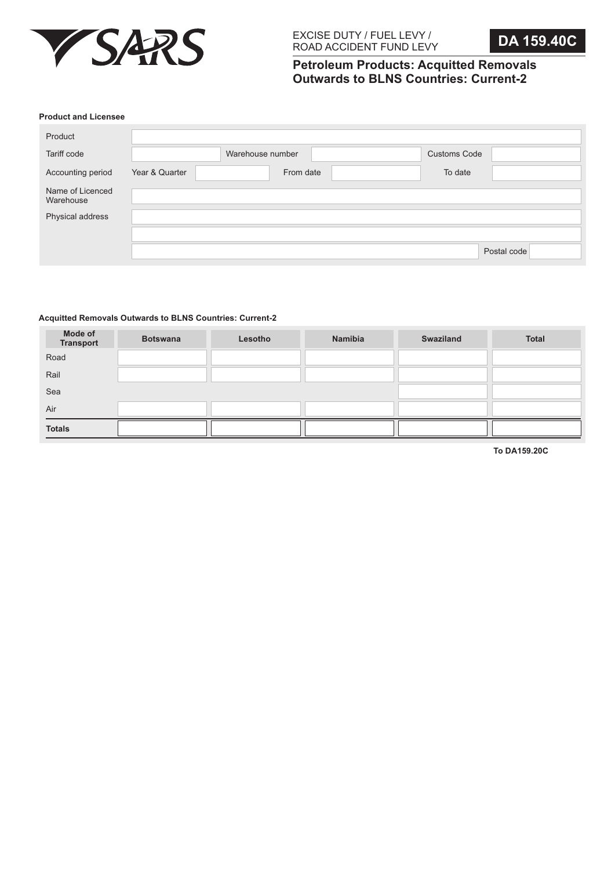

**Petroleum Products: Acquitted Removals Outwards to BLNS Countries: Current-2**

#### **Product and Licensee**

| Product                       |                |                  |                     |             |
|-------------------------------|----------------|------------------|---------------------|-------------|
| Tariff code                   |                | Warehouse number | <b>Customs Code</b> |             |
| Accounting period             | Year & Quarter | From date        | To date             |             |
| Name of Licenced<br>Warehouse |                |                  |                     |             |
| Physical address              |                |                  |                     |             |
|                               |                |                  |                     |             |
|                               |                |                  |                     | Postal code |

# **Acquitted Removals Outwards to BLNS Countries: Current-2**

| Mode of<br><b>Transport</b> | <b>Botswana</b> | Lesotho | Namibia | <b>Swaziland</b> | <b>Total</b> |
|-----------------------------|-----------------|---------|---------|------------------|--------------|
| Road                        |                 |         |         |                  |              |
| Rail                        |                 |         |         |                  |              |
| Sea                         |                 |         |         |                  |              |
| Air                         |                 |         |         |                  |              |
| <b>Totals</b>               |                 |         |         |                  |              |

**To DA159.20C**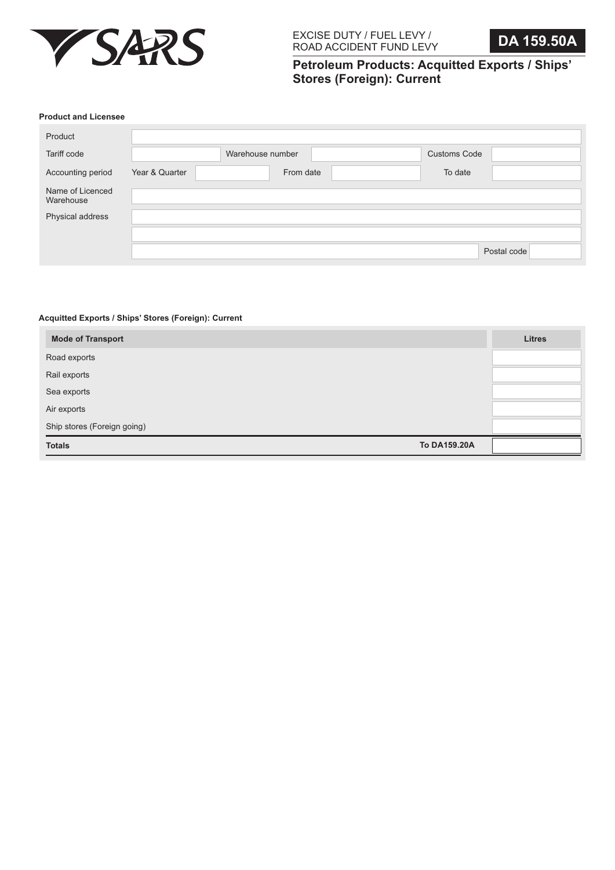

**Petroleum Products: Acquitted Exports / Ships' Stores (Foreign): Current**

### **Product and Licensee**

| Product                       |                |                  |                     |             |
|-------------------------------|----------------|------------------|---------------------|-------------|
| Tariff code                   |                | Warehouse number | <b>Customs Code</b> |             |
| Accounting period             | Year & Quarter | From date        | To date             |             |
| Name of Licenced<br>Warehouse |                |                  |                     |             |
| Physical address              |                |                  |                     |             |
|                               |                |                  |                     |             |
|                               |                |                  |                     | Postal code |

# **Acquitted Exports / Ships' Stores (Foreign): Current**

| <b>Mode of Transport</b>    |              | <b>Litres</b> |
|-----------------------------|--------------|---------------|
| Road exports                |              |               |
| Rail exports                |              |               |
| Sea exports                 |              |               |
| Air exports                 |              |               |
| Ship stores (Foreign going) |              |               |
| <b>Totals</b>               | To DA159.20A |               |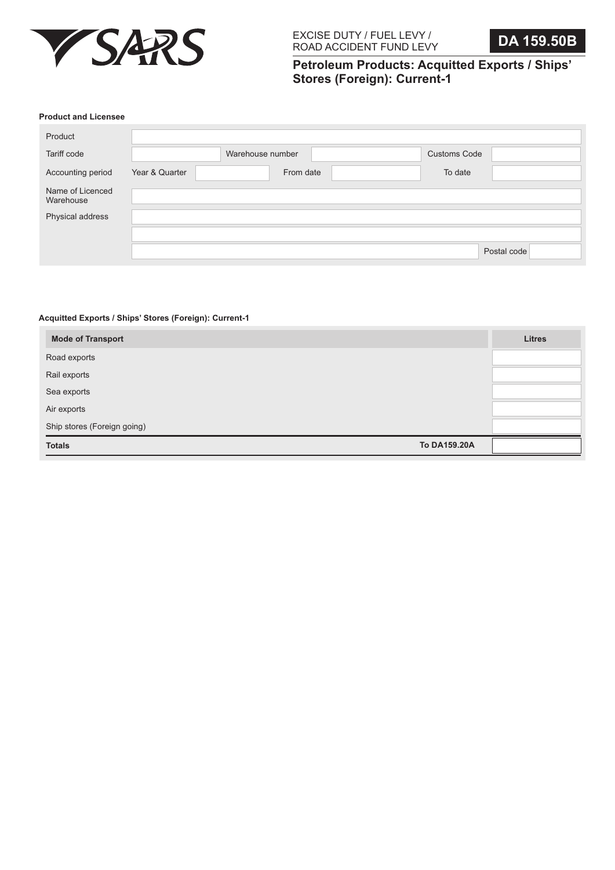

**Petroleum Products: Acquitted Exports / Ships' Stores (Foreign): Current-1**

### **Product and Licensee**

| Product                       |                |                  |                     |             |
|-------------------------------|----------------|------------------|---------------------|-------------|
| Tariff code                   |                | Warehouse number | <b>Customs Code</b> |             |
| Accounting period             | Year & Quarter | From date        | To date             |             |
| Name of Licenced<br>Warehouse |                |                  |                     |             |
| Physical address              |                |                  |                     |             |
|                               |                |                  |                     |             |
|                               |                |                  |                     | Postal code |

# **Acquitted Exports / Ships' Stores (Foreign): Current-1**

| <b>Mode of Transport</b>    |              | <b>Litres</b> |
|-----------------------------|--------------|---------------|
| Road exports                |              |               |
| Rail exports                |              |               |
| Sea exports                 |              |               |
| Air exports                 |              |               |
| Ship stores (Foreign going) |              |               |
| <b>Totals</b>               | To DA159.20A |               |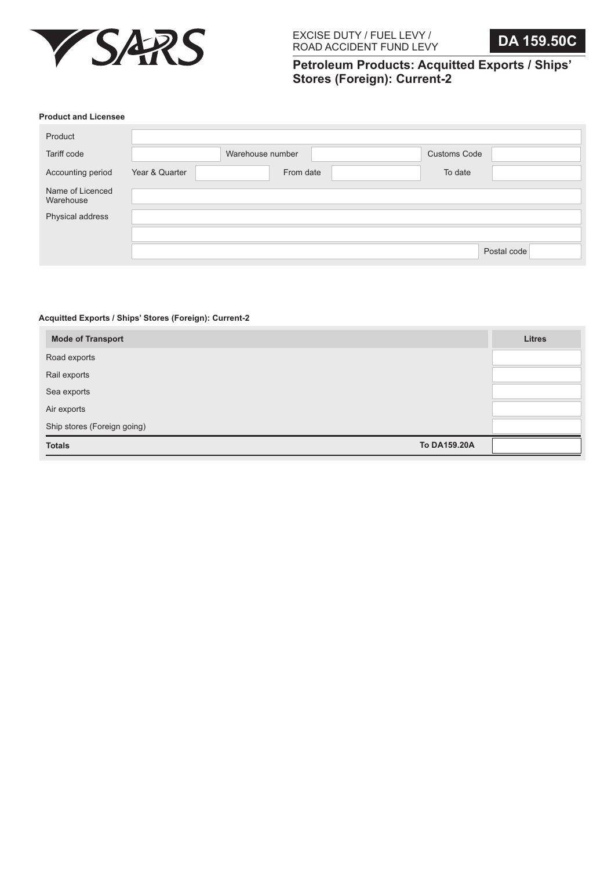

**Petroleum Products: Acquitted Exports / Ships' Stores (Foreign): Current-2**

#### **Product and Licensee**

| Product                       |                |                  |                     |             |
|-------------------------------|----------------|------------------|---------------------|-------------|
| Tariff code                   |                | Warehouse number | <b>Customs Code</b> |             |
| Accounting period             | Year & Quarter | From date        | To date             |             |
| Name of Licenced<br>Warehouse |                |                  |                     |             |
| Physical address              |                |                  |                     |             |
|                               |                |                  |                     |             |
|                               |                |                  |                     | Postal code |

# **Acquitted Exports / Ships' Stores (Foreign): Current-2**

| <b>Mode of Transport</b>    |              | <b>Litres</b> |
|-----------------------------|--------------|---------------|
| Road exports                |              |               |
| Rail exports                |              |               |
| Sea exports                 |              |               |
| Air exports                 |              |               |
| Ship stores (Foreign going) |              |               |
| <b>Totals</b>               | To DA159.20A |               |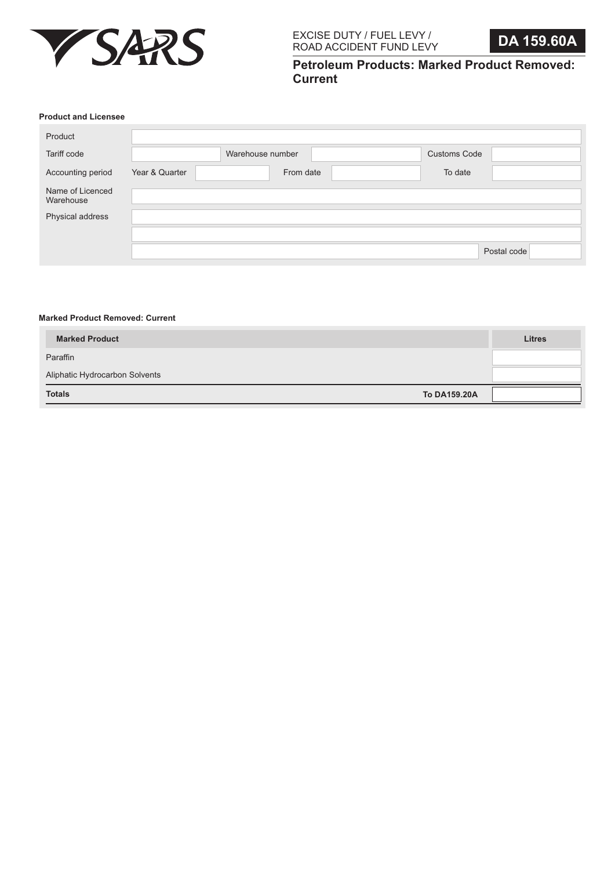

**Petroleum Products: Marked Product Removed: Current**

# **Product and Licensee**

| Product                       |                |                  |                     |             |
|-------------------------------|----------------|------------------|---------------------|-------------|
| Tariff code                   |                | Warehouse number | <b>Customs Code</b> |             |
| Accounting period             | Year & Quarter | From date        | To date             |             |
| Name of Licenced<br>Warehouse |                |                  |                     |             |
| Physical address              |                |                  |                     |             |
|                               |                |                  |                     |             |
|                               |                |                  |                     | Postal code |

## **Marked Product Removed: Current**

| <b>Marked Product</b>          | <b>Litres</b> |
|--------------------------------|---------------|
| Paraffin                       |               |
| Aliphatic Hydrocarbon Solvents |               |
| <b>Totals</b><br>To DA159.20A  |               |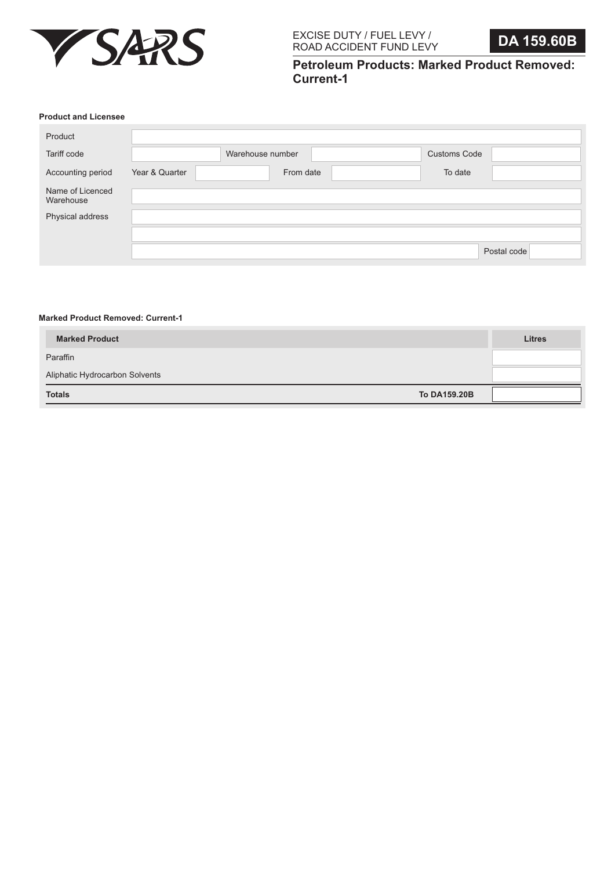

**Petroleum Products: Marked Product Removed: Current-1**

### **Product and Licensee**

| Product                       |                |                  |                     |             |
|-------------------------------|----------------|------------------|---------------------|-------------|
| Tariff code                   |                | Warehouse number | <b>Customs Code</b> |             |
| Accounting period             | Year & Quarter | From date        | To date             |             |
| Name of Licenced<br>Warehouse |                |                  |                     |             |
| Physical address              |                |                  |                     |             |
|                               |                |                  |                     |             |
|                               |                |                  |                     | Postal code |

#### **Marked Product Removed: Current-1**

| <b>Marked Product</b>          | <b>Litres</b> |
|--------------------------------|---------------|
| Paraffin                       |               |
| Aliphatic Hydrocarbon Solvents |               |
| <b>Totals</b><br>To DA159.20B  |               |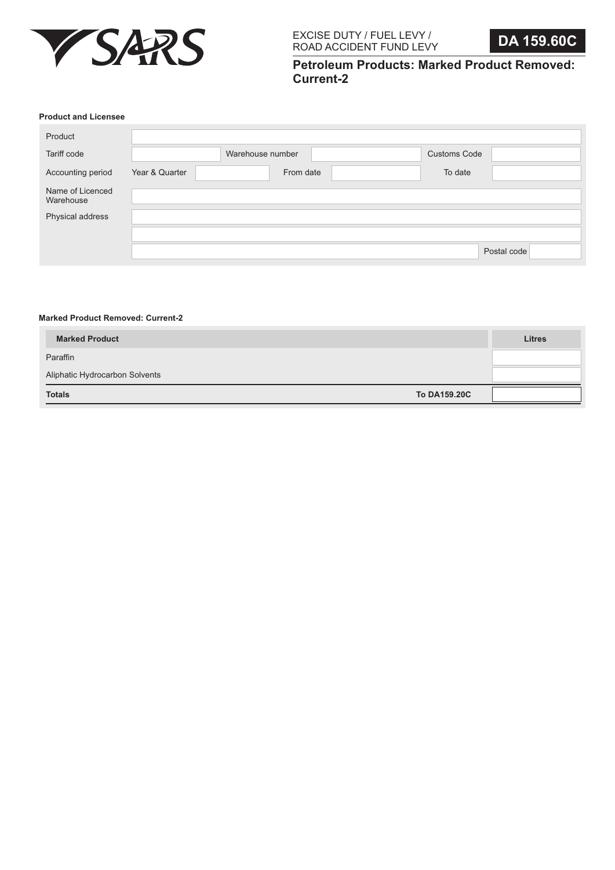

**Petroleum Products: Marked Product Removed: Current-2**

# **Product and Licensee**

| Product                       |                |                  |                     |             |
|-------------------------------|----------------|------------------|---------------------|-------------|
| Tariff code                   |                | Warehouse number | <b>Customs Code</b> |             |
| Accounting period             | Year & Quarter | From date        | To date             |             |
| Name of Licenced<br>Warehouse |                |                  |                     |             |
| Physical address              |                |                  |                     |             |
|                               |                |                  |                     |             |
|                               |                |                  |                     | Postal code |

## **Marked Product Removed: Current-2**

| <b>Marked Product</b>          | <b>Litres</b> |  |
|--------------------------------|---------------|--|
| Paraffin                       |               |  |
| Aliphatic Hydrocarbon Solvents |               |  |
| <b>Totals</b>                  | To DA159,20C  |  |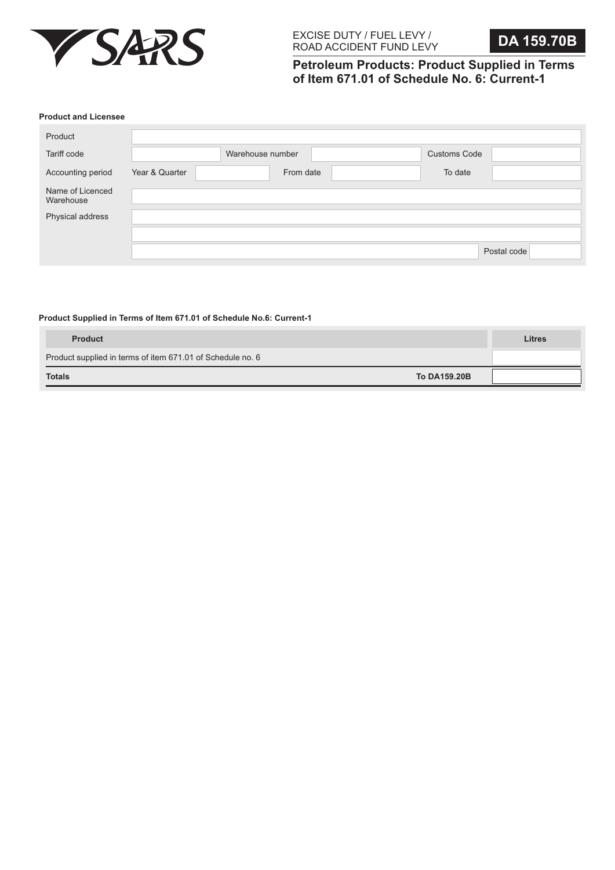

**Petroleum Products: Product Supplied in Terms of Item 671.01 of Schedule No. 6: Current-1**

#### **Product and Licensee**

| Product                       |                |                  |                     |             |
|-------------------------------|----------------|------------------|---------------------|-------------|
| Tariff code                   |                | Warehouse number | <b>Customs Code</b> |             |
| Accounting period             | Year & Quarter | From date        | To date             |             |
| Name of Licenced<br>Warehouse |                |                  |                     |             |
| Physical address              |                |                  |                     |             |
|                               |                |                  |                     |             |
|                               |                |                  |                     | Postal code |

### **Product Supplied in Terms of Item 671.01 of Schedule No.6: Current-1**

| <b>Product</b>                                             | <b>Litres</b> |
|------------------------------------------------------------|---------------|
| Product supplied in terms of item 671.01 of Schedule no. 6 |               |
| To DA159.20B<br><b>Totals</b>                              |               |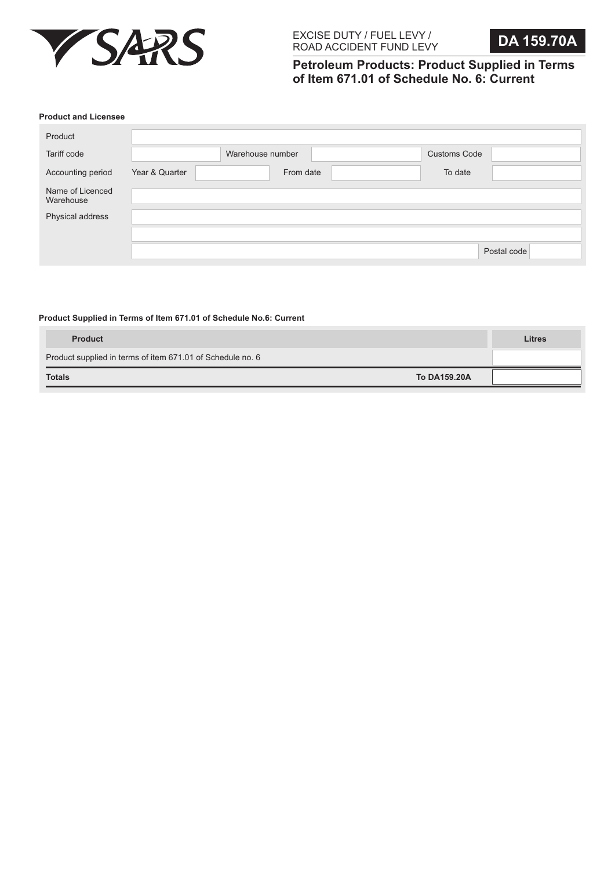

**Petroleum Products: Product Supplied in Terms of Item 671.01 of Schedule No. 6: Current**

#### **Product and Licensee**

| Product                       |                |                  |                     |             |
|-------------------------------|----------------|------------------|---------------------|-------------|
| Tariff code                   |                | Warehouse number | <b>Customs Code</b> |             |
| Accounting period             | Year & Quarter | From date        | To date             |             |
| Name of Licenced<br>Warehouse |                |                  |                     |             |
| Physical address              |                |                  |                     |             |
|                               |                |                  |                     |             |
|                               |                |                  |                     | Postal code |

## **Product Supplied in Terms of Item 671.01 of Schedule No.6: Current**

| <b>Product</b>                                             | <b>Litres</b> |
|------------------------------------------------------------|---------------|
| Product supplied in terms of item 671.01 of Schedule no. 6 |               |
| To DA159.20A<br><b>Totals</b>                              |               |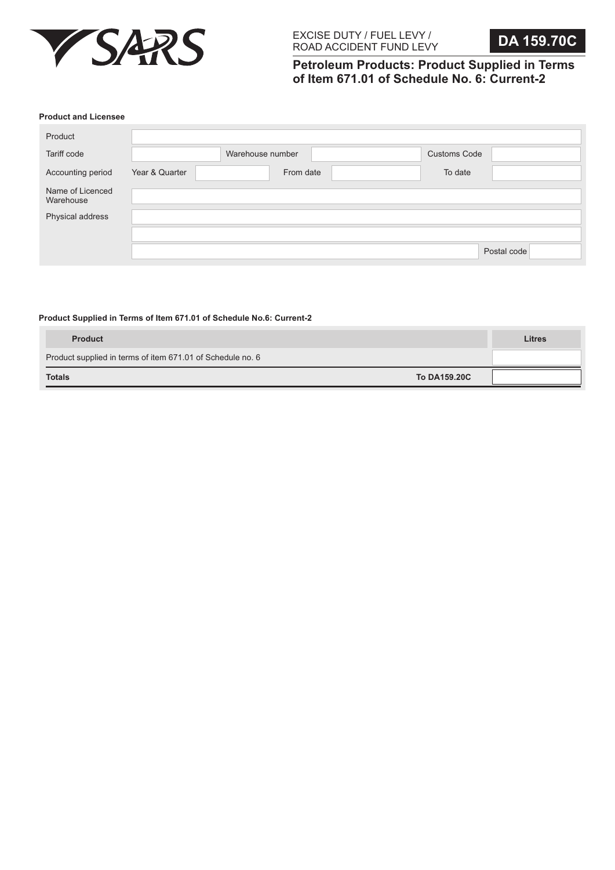

**Petroleum Products: Product Supplied in Terms of Item 671.01 of Schedule No. 6: Current-2**

#### **Product and Licensee**

| Product                       |                |                  |                     |             |
|-------------------------------|----------------|------------------|---------------------|-------------|
| Tariff code                   |                | Warehouse number | <b>Customs Code</b> |             |
| Accounting period             | Year & Quarter | From date        | To date             |             |
| Name of Licenced<br>Warehouse |                |                  |                     |             |
| Physical address              |                |                  |                     |             |
|                               |                |                  |                     |             |
|                               |                |                  |                     | Postal code |

#### **Product Supplied in Terms of Item 671.01 of Schedule No.6: Current-2**

| <b>Product</b>                                             | <b>Litres</b> |
|------------------------------------------------------------|---------------|
| Product supplied in terms of item 671.01 of Schedule no. 6 |               |
| <b>To DA159.20C</b><br><b>Totals</b>                       |               |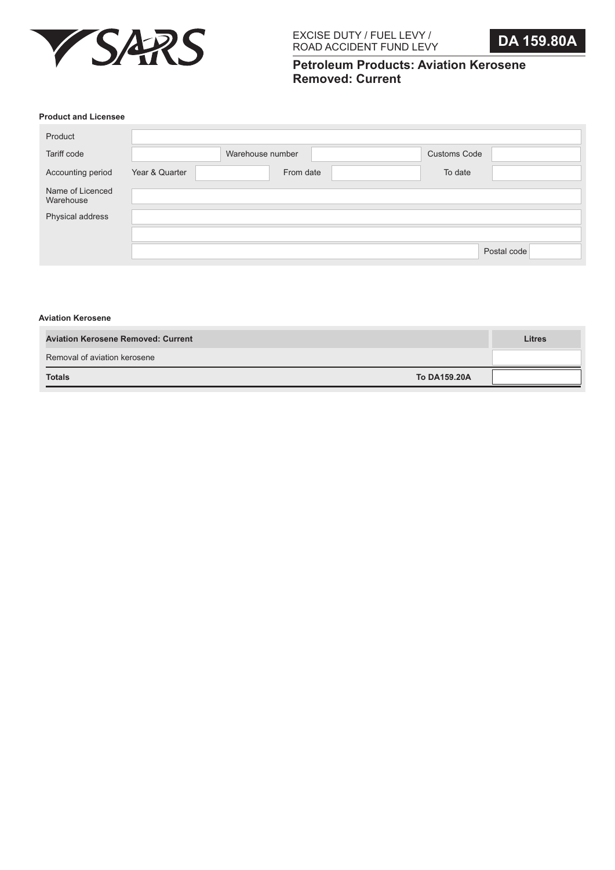

# **Petroleum Products: Aviation Kerosene Removed: Current**

### **Product and Licensee**

| Product                       |                |                  |                     |             |
|-------------------------------|----------------|------------------|---------------------|-------------|
| Tariff code                   |                | Warehouse number | <b>Customs Code</b> |             |
| Accounting period             | Year & Quarter | From date        | To date             |             |
| Name of Licenced<br>Warehouse |                |                  |                     |             |
| Physical address              |                |                  |                     |             |
|                               |                |                  |                     |             |
|                               |                |                  |                     | Postal code |

#### **Aviation Kerosene**

| <b>Aviation Kerosene Removed: Current</b> | <b>Litres</b> |
|-------------------------------------------|---------------|
| Removal of aviation kerosene              |               |
| To DA159.20A<br><b>Totals</b>             |               |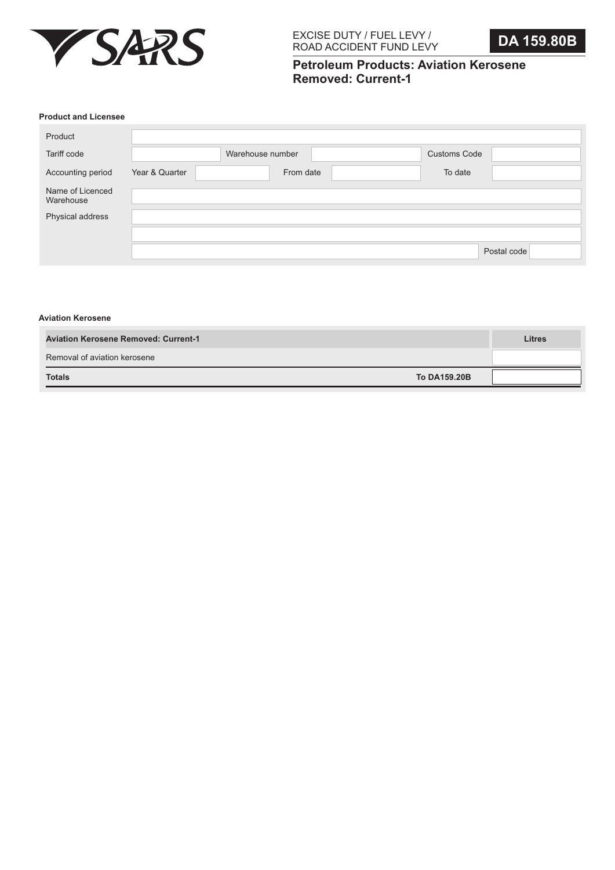

# **Petroleum Products: Aviation Kerosene Removed: Current-1**

### **Product and Licensee**

| Product                       |                |                  |                     |             |
|-------------------------------|----------------|------------------|---------------------|-------------|
| Tariff code                   |                | Warehouse number | <b>Customs Code</b> |             |
| Accounting period             | Year & Quarter | From date        | To date             |             |
| Name of Licenced<br>Warehouse |                |                  |                     |             |
| Physical address              |                |                  |                     |             |
|                               |                |                  |                     |             |
|                               |                |                  |                     | Postal code |

#### **Aviation Kerosene**

| <b>Aviation Kerosene Removed: Current-1</b> |              | <b>Litres</b> |
|---------------------------------------------|--------------|---------------|
| Removal of aviation kerosene                |              |               |
| <b>Totals</b>                               | To DA159.20B |               |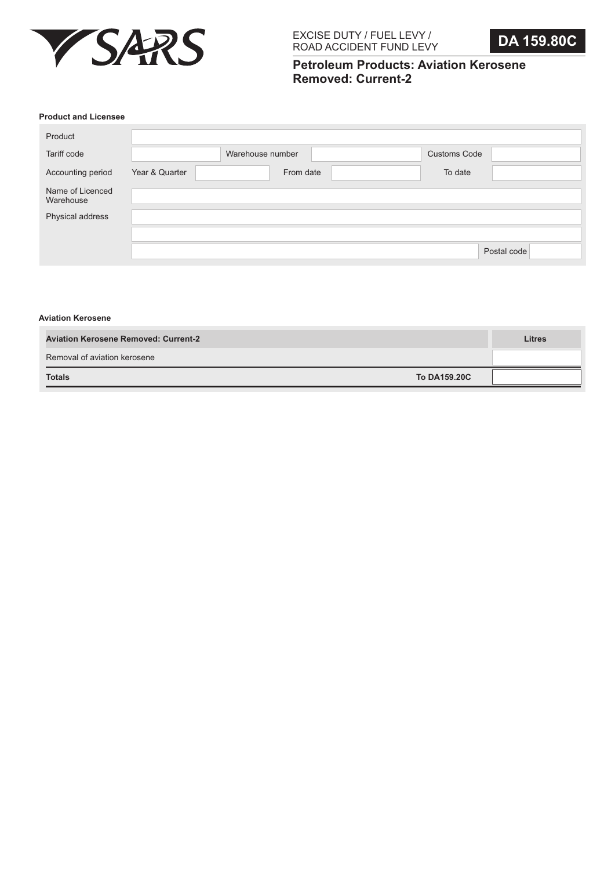

# **Petroleum Products: Aviation Kerosene Removed: Current-2**

### **Product and Licensee**

| Product                       |                |                  |                     |             |
|-------------------------------|----------------|------------------|---------------------|-------------|
| Tariff code                   |                | Warehouse number | <b>Customs Code</b> |             |
| Accounting period             | Year & Quarter | From date        | To date             |             |
| Name of Licenced<br>Warehouse |                |                  |                     |             |
| Physical address              |                |                  |                     |             |
|                               |                |                  |                     |             |
|                               |                |                  |                     | Postal code |

#### **Aviation Kerosene**

| <b>Aviation Kerosene Removed: Current-2</b> | <b>Litres</b> |
|---------------------------------------------|---------------|
| Removal of aviation kerosene                |               |
| <b>To DA159.20C</b><br><b>Totals</b>        |               |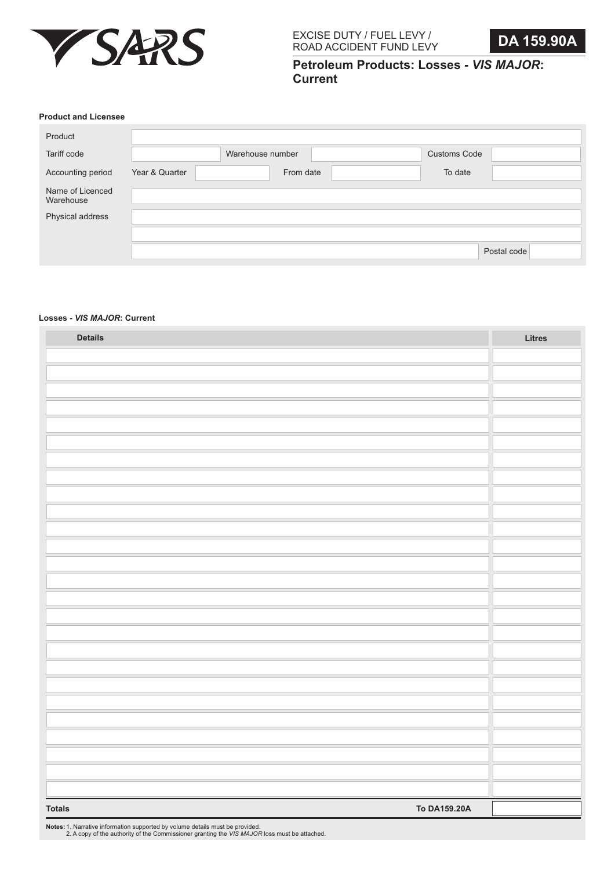

**Petroleum Products: Losses -** *VIS MAJOR***: Current**

#### **Product and Licensee**

|                | Warehouse number | <b>Customs Code</b> |             |
|----------------|------------------|---------------------|-------------|
| Year & Quarter |                  | To date             |             |
|                |                  |                     |             |
|                |                  |                     |             |
|                |                  |                     |             |
|                |                  |                     | Postal code |
|                |                  | From date           |             |

## **Losses -** *VIS MAJOR***: Current**

| <b>Details</b>                | Litres |
|-------------------------------|--------|
|                               |        |
|                               |        |
|                               |        |
|                               |        |
|                               |        |
|                               |        |
|                               |        |
|                               |        |
|                               |        |
|                               |        |
|                               |        |
|                               |        |
|                               |        |
|                               |        |
|                               |        |
|                               |        |
|                               |        |
|                               |        |
|                               |        |
|                               |        |
|                               |        |
|                               |        |
|                               |        |
|                               |        |
|                               |        |
|                               |        |
| To DA159.20A<br><b>Totals</b> |        |

**Notes:** 1. Narrative information supported by volume details must be provided. 2. A copy of the authority of the Commissioner granting the *VIS MAJOR* loss must be attached.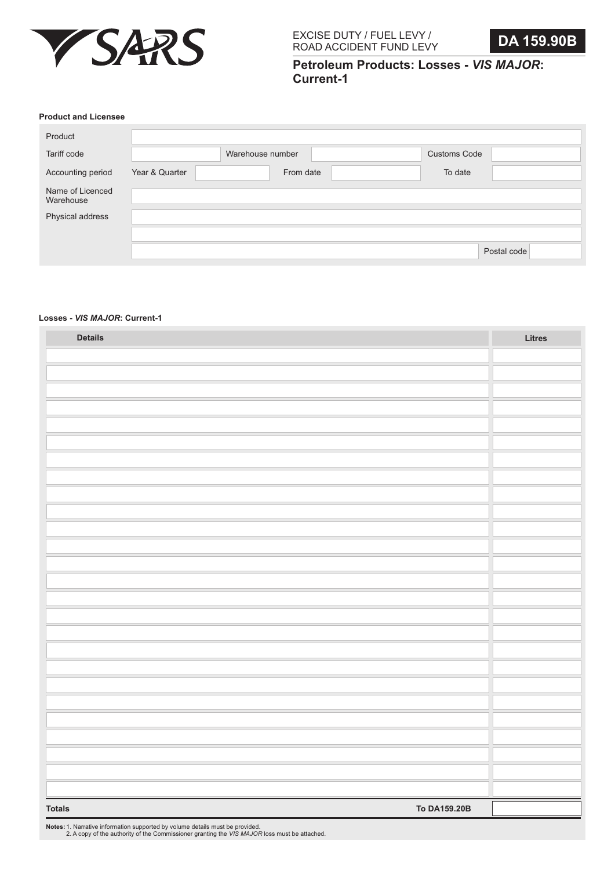

**Petroleum Products: Losses -** *VIS MAJOR***: Current-1**

#### **Product and Licensee**

|                | Warehouse number |                                |
|----------------|------------------|--------------------------------|
| Year & Quarter | From date        |                                |
|                |                  |                                |
|                |                  |                                |
|                |                  |                                |
|                |                  | Postal code                    |
|                |                  | <b>Customs Code</b><br>To date |

## **Losses -** *VIS MAJOR***: Current-1**

| <b>Details</b>                | Litres |
|-------------------------------|--------|
|                               |        |
|                               |        |
|                               |        |
|                               |        |
|                               |        |
|                               |        |
|                               |        |
|                               |        |
|                               |        |
|                               |        |
|                               |        |
|                               |        |
|                               |        |
|                               |        |
|                               |        |
|                               |        |
|                               |        |
|                               |        |
|                               |        |
|                               |        |
|                               |        |
|                               |        |
|                               |        |
|                               |        |
|                               |        |
|                               |        |
| To DA159.20B<br><b>Totals</b> |        |

**Notes:** 1. Narrative information supported by volume details must be provided. 2. A copy of the authority of the Commissioner granting the *VIS MAJOR* loss must be attached.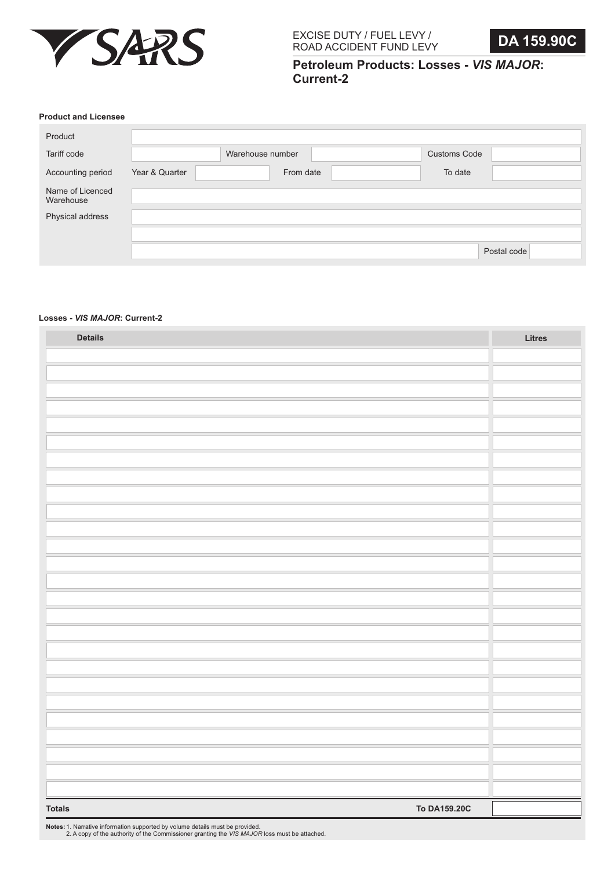

**Petroleum Products: Losses -** *VIS MAJOR***: Current-2**

#### **Product and Licensee**

| Product                       |                |                  |                     |             |
|-------------------------------|----------------|------------------|---------------------|-------------|
| Tariff code                   |                | Warehouse number | <b>Customs Code</b> |             |
| Accounting period             | Year & Quarter | From date        | To date             |             |
| Name of Licenced<br>Warehouse |                |                  |                     |             |
| Physical address              |                |                  |                     |             |
|                               |                |                  |                     |             |
|                               |                |                  |                     | Postal code |

#### **Losses -** *VIS MAJOR***: Current-2**

| <b>Details</b>                | Litres |
|-------------------------------|--------|
|                               |        |
|                               |        |
|                               |        |
|                               |        |
|                               |        |
|                               |        |
|                               |        |
|                               |        |
|                               |        |
|                               |        |
|                               |        |
|                               |        |
|                               |        |
|                               |        |
|                               |        |
|                               |        |
|                               |        |
|                               |        |
|                               |        |
|                               |        |
|                               |        |
|                               |        |
|                               |        |
|                               |        |
|                               |        |
|                               |        |
| To DA159.20C<br><b>Totals</b> |        |

**Notes:** 1. Narrative information supported by volume details must be provided. 2. A copy of the authority of the Commissioner granting the *VIS MAJOR* loss must be attached.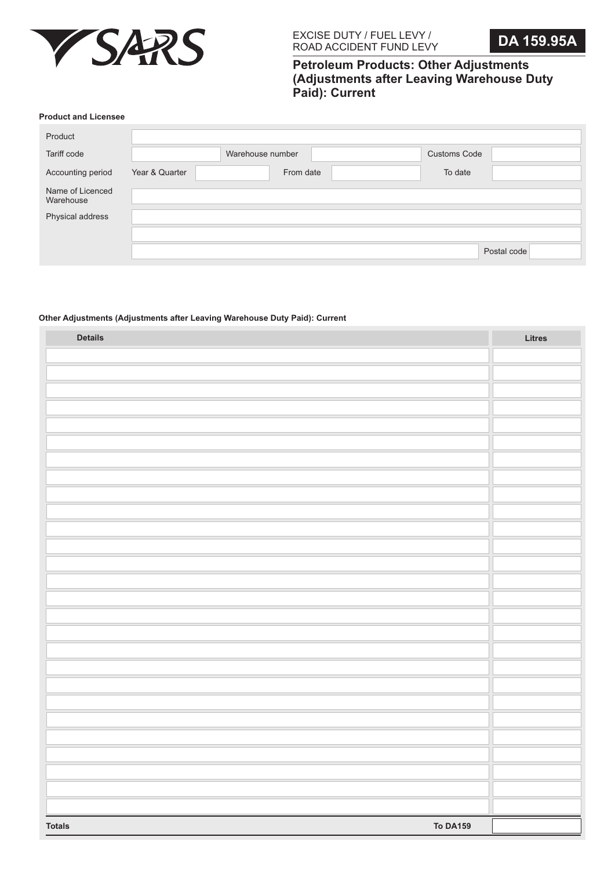

# **Petroleum Products: Other Adjustments (Adjustments after Leaving Warehouse Duty Paid): Current**

#### **Product and Licensee**

|                | Warehouse number | <b>Customs Code</b> |             |
|----------------|------------------|---------------------|-------------|
| Year & Quarter |                  | To date             |             |
|                |                  |                     |             |
|                |                  |                     |             |
|                |                  |                     |             |
|                |                  |                     | Postal code |
|                |                  | From date           |             |

# **Other Adjustments (Adjustments after Leaving Warehouse Duty Paid): Current**

| <b>Details</b>                   | Litres |
|----------------------------------|--------|
|                                  |        |
|                                  |        |
|                                  |        |
|                                  |        |
|                                  |        |
|                                  |        |
|                                  |        |
|                                  |        |
|                                  |        |
|                                  |        |
|                                  |        |
|                                  |        |
|                                  |        |
|                                  |        |
|                                  |        |
|                                  |        |
|                                  |        |
|                                  |        |
|                                  |        |
|                                  |        |
|                                  |        |
|                                  |        |
|                                  |        |
|                                  |        |
|                                  |        |
|                                  |        |
|                                  |        |
| <b>To DA159</b><br><b>Totals</b> |        |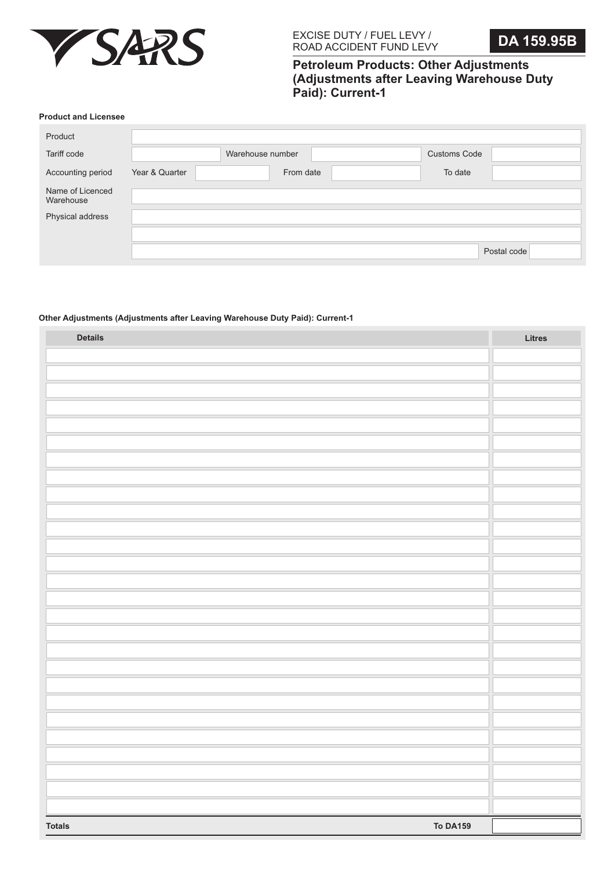

# **Petroleum Products: Other Adjustments (Adjustments after Leaving Warehouse Duty Paid): Current-1**

#### **Product and Licensee**

|                | Warehouse number | <b>Customs Code</b> |             |
|----------------|------------------|---------------------|-------------|
| Year & Quarter | From date        | To date             |             |
|                |                  |                     |             |
|                |                  |                     |             |
|                |                  |                     |             |
|                |                  |                     | Postal code |
|                |                  |                     |             |

## **Other Adjustments (Adjustments after Leaving Warehouse Duty Paid): Current-1**

| <b>Details</b>                   | Litres |
|----------------------------------|--------|
|                                  |        |
|                                  |        |
|                                  |        |
|                                  |        |
|                                  |        |
|                                  |        |
|                                  |        |
|                                  |        |
|                                  |        |
|                                  |        |
|                                  |        |
|                                  |        |
|                                  |        |
|                                  |        |
|                                  |        |
|                                  |        |
|                                  |        |
|                                  |        |
|                                  |        |
|                                  |        |
|                                  |        |
|                                  |        |
|                                  |        |
|                                  |        |
|                                  |        |
|                                  |        |
|                                  |        |
| <b>To DA159</b><br><b>Totals</b> |        |